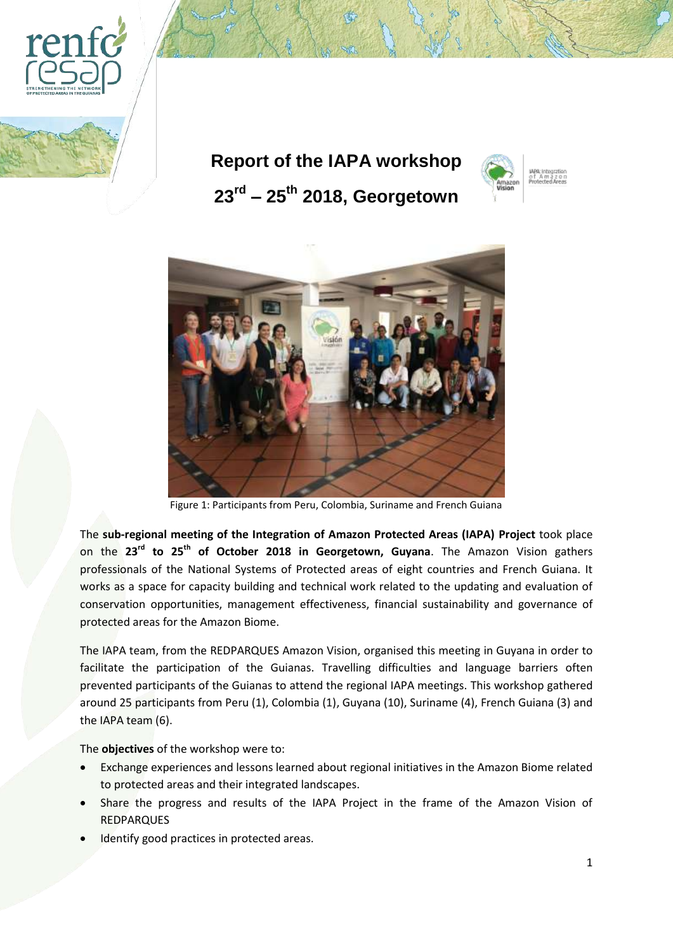

**Report of the IAPA workshop 23rd – 25th 2018, Georgetown**





Figure 1: Participants from Peru, Colombia, Suriname and French Guiana

The **sub-regional meeting of the Integration of Amazon Protected Areas (IAPA) Project** took place on the **23rd to 25th of October 2018 in Georgetown, Guyana**. The Amazon Vision gathers professionals of the National Systems of Protected areas of eight countries and French Guiana. It works as a space for capacity building and technical work related to the updating and evaluation of conservation opportunities, management effectiveness, financial sustainability and governance of protected areas for the Amazon Biome.

The IAPA team, from the REDPARQUES Amazon Vision, organised this meeting in Guyana in order to facilitate the participation of the Guianas. Travelling difficulties and language barriers often prevented participants of the Guianas to attend the regional IAPA meetings. This workshop gathered around 25 participants from Peru (1), Colombia (1), Guyana (10), Suriname (4), French Guiana (3) and the IAPA team (6).

The **objectives** of the workshop were to:

- Exchange experiences and lessons learned about regional initiatives in the Amazon Biome related to protected areas and their integrated landscapes.
- Share the progress and results of the IAPA Project in the frame of the Amazon Vision of REDPARQUES
- Identify good practices in protected areas.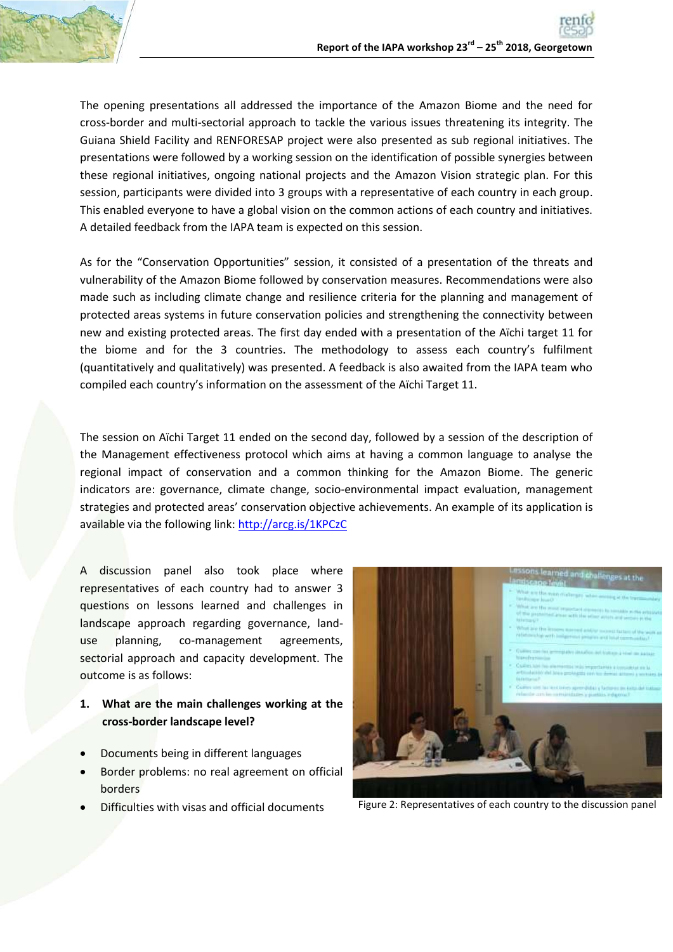

The opening presentations all addressed the importance of the Amazon Biome and the need for cross-border and multi-sectorial approach to tackle the various issues threatening its integrity. The Guiana Shield Facility and RENFORESAP project were also presented as sub regional initiatives. The presentations were followed by a working session on the identification of possible synergies between these regional initiatives, ongoing national projects and the Amazon Vision strategic plan. For this session, participants were divided into 3 groups with a representative of each country in each group. This enabled everyone to have a global vision on the common actions of each country and initiatives. A detailed feedback from the IAPA team is expected on this session.

As for the "Conservation Opportunities" session, it consisted of a presentation of the threats and vulnerability of the Amazon Biome followed by conservation measures. Recommendations were also made such as including climate change and resilience criteria for the planning and management of protected areas systems in future conservation policies and strengthening the connectivity between new and existing protected areas. The first day ended with a presentation of the Aïchi target 11 for the biome and for the 3 countries. The methodology to assess each country's fulfilment (quantitatively and qualitatively) was presented. A feedback is also awaited from the IAPA team who compiled each country's information on the assessment of the Aïchi Target 11.

The session on Aïchi Target 11 ended on the second day, followed by a session of the description of the Management effectiveness protocol which aims at having a common language to analyse the regional impact of conservation and a common thinking for the Amazon Biome. The generic indicators are: governance, climate change, socio-environmental impact evaluation, management strategies and protected areas' conservation objective achievements. An example of its application is available via the following link[: http://arcg.is/1KPCzC](http://arcg.is/1KPCzC)

A discussion panel also took place where representatives of each country had to answer 3 questions on lessons learned and challenges in landscape approach regarding governance, landuse planning, co-management agreements, sectorial approach and capacity development. The outcome is as follows:

- **1. What are the main challenges working at the cross-border landscape level?**
- Documents being in different languages
- Border problems: no real agreement on official borders
- 



Difficulties with visas and official documents Figure 2: Representatives of each country to the discussion panel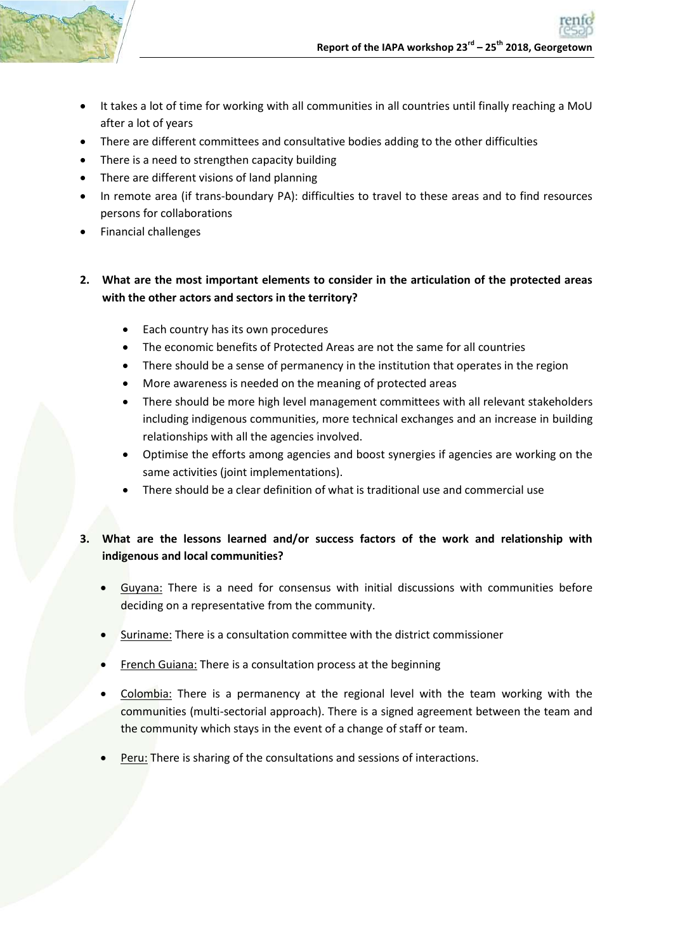

- It takes a lot of time for working with all communities in all countries until finally reaching a MoU after a lot of years
- There are different committees and consultative bodies adding to the other difficulties
- There is a need to strengthen capacity building
- There are different visions of land planning
- In remote area (if trans-boundary PA): difficulties to travel to these areas and to find resources persons for collaborations
- Financial challenges

## **2. What are the most important elements to consider in the articulation of the protected areas with the other actors and sectors in the territory?**

- Each country has its own procedures
- The economic benefits of Protected Areas are not the same for all countries
- There should be a sense of permanency in the institution that operates in the region
- More awareness is needed on the meaning of protected areas
- There should be more high level management committees with all relevant stakeholders including indigenous communities, more technical exchanges and an increase in building relationships with all the agencies involved.
- Optimise the efforts among agencies and boost synergies if agencies are working on the same activities (joint implementations).
- There should be a clear definition of what is traditional use and commercial use

## **3. What are the lessons learned and/or success factors of the work and relationship with indigenous and local communities?**

- Guyana: There is a need for consensus with initial discussions with communities before deciding on a representative from the community.
- Suriname: There is a consultation committee with the district commissioner
- French Guiana: There is a consultation process at the beginning
- Colombia: There is a permanency at the regional level with the team working with the communities (multi-sectorial approach). There is a signed agreement between the team and the community which stays in the event of a change of staff or team.
- Peru: There is sharing of the consultations and sessions of interactions.